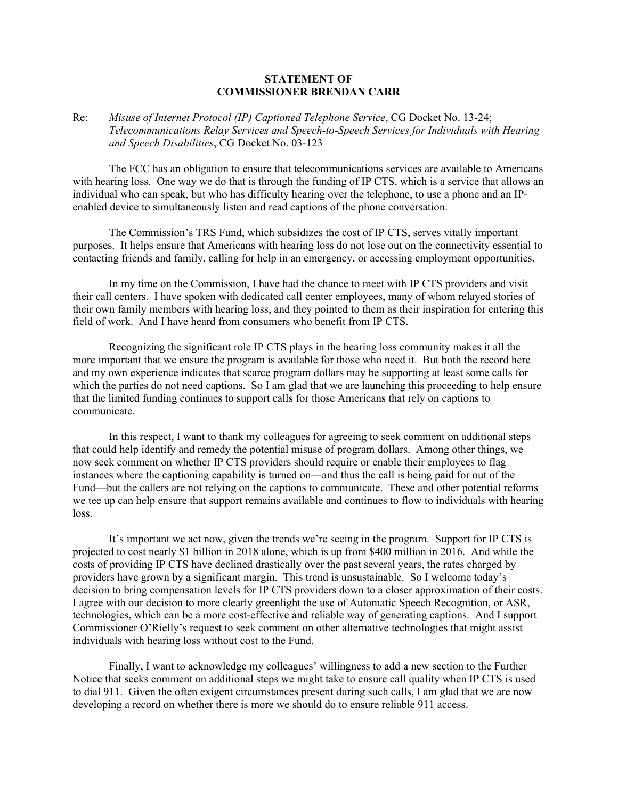## **STATEMENT OF COMMISSIONER BRENDAN CARR**

## Re: *Misuse of Internet Protocol (IP) Captioned Telephone Service*, CG Docket No. 13-24; *Telecommunications Relay Services and Speech-to-Speech Services for Individuals with Hearing and Speech Disabilities*, CG Docket No. 03-123

The FCC has an obligation to ensure that telecommunications services are available to Americans with hearing loss. One way we do that is through the funding of IP CTS, which is a service that allows an individual who can speak, but who has difficulty hearing over the telephone, to use a phone and an IPenabled device to simultaneously listen and read captions of the phone conversation.

The Commission's TRS Fund, which subsidizes the cost of IP CTS, serves vitally important purposes. It helps ensure that Americans with hearing loss do not lose out on the connectivity essential to contacting friends and family, calling for help in an emergency, or accessing employment opportunities.

In my time on the Commission, I have had the chance to meet with IP CTS providers and visit their call centers. I have spoken with dedicated call center employees, many of whom relayed stories of their own family members with hearing loss, and they pointed to them as their inspiration for entering this field of work. And I have heard from consumers who benefit from IP CTS.

Recognizing the significant role IP CTS plays in the hearing loss community makes it all the more important that we ensure the program is available for those who need it. But both the record here and my own experience indicates that scarce program dollars may be supporting at least some calls for which the parties do not need captions. So I am glad that we are launching this proceeding to help ensure that the limited funding continues to support calls for those Americans that rely on captions to communicate.

In this respect, I want to thank my colleagues for agreeing to seek comment on additional steps that could help identify and remedy the potential misuse of program dollars. Among other things, we now seek comment on whether IP CTS providers should require or enable their employees to flag instances where the captioning capability is turned on—and thus the call is being paid for out of the Fund—but the callers are not relying on the captions to communicate. These and other potential reforms we tee up can help ensure that support remains available and continues to flow to individuals with hearing loss.

It's important we act now, given the trends we're seeing in the program. Support for IP CTS is projected to cost nearly \$1 billion in 2018 alone, which is up from \$400 million in 2016. And while the costs of providing IP CTS have declined drastically over the past several years, the rates charged by providers have grown by a significant margin. This trend is unsustainable. So I welcome today's decision to bring compensation levels for IP CTS providers down to a closer approximation of their costs. I agree with our decision to more clearly greenlight the use of Automatic Speech Recognition, or ASR, technologies, which can be a more cost-effective and reliable way of generating captions. And I support Commissioner O'Rielly's request to seek comment on other alternative technologies that might assist individuals with hearing loss without cost to the Fund.

Finally, I want to acknowledge my colleagues' willingness to add a new section to the Further Notice that seeks comment on additional steps we might take to ensure call quality when IP CTS is used to dial 911. Given the often exigent circumstances present during such calls, I am glad that we are now developing a record on whether there is more we should do to ensure reliable 911 access.